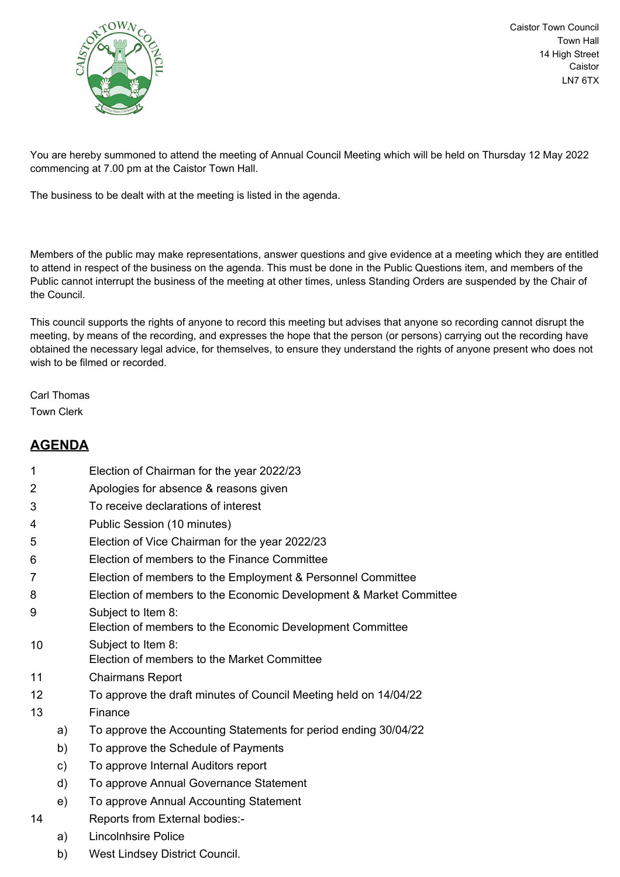

Caistor Town Council Town Hall 14 High Street Caistor LN7 6TX

You are hereby summoned to attend the meeting of Annual Council Meeting which will be held on Thursday 12 May 2022 commencing at 7.00 pm at the Caistor Town Hall.

The business to be dealt with at the meeting is listed in the agenda.

Members of the public may make representations, answer questions and give evidence at a meeting which they are entitled to attend in respect of the business on the agenda. This must be done in the Public Questions item, and members of the Public cannot interrupt the business of the meeting at other times, unless Standing Orders are suspended by the Chair of the Council.

This council supports the rights of anyone to record this meeting but advises that anyone so recording cannot disrupt the meeting, by means of the recording, and expresses the hope that the person (or persons) carrying out the recording have obtained the necessary legal advice, for themselves, to ensure they understand the rights of anyone present who does not wish to be filmed or recorded.

Carl Thomas Town Clerk

## **AGENDA**

- 1 Election of Chairman for the year 2022/23
- 2 Apologies for absence & reasons given
- 3 To receive declarations of interest
- 4 Public Session (10 minutes)
- 5 Election of Vice Chairman for the year 2022/23
- 6 Election of members to the Finance Committee
- 7 Election of members to the Employment & Personnel Committee
- 8 Election of members to the Economic Development & Market Committee
- 9 Subject to Item 8: Election of members to the Economic Development Committee
- 10 Subject to Item 8: Election of members to the Market Committee
- 11 Chairmans Report
- 12 To approve the draft minutes of Council Meeting held on 14/04/22
- 13 Finance
	- a) To approve the Accounting Statements for period ending 30/04/22
	- b) To approve the Schedule of Payments
	- c) To approve Internal Auditors report
	- d) To approve Annual Governance Statement
	- e) To approve Annual Accounting Statement
- 14 Reports from External bodies:
	- a) Lincolnhsire Police
	- b) West Lindsey District Council.